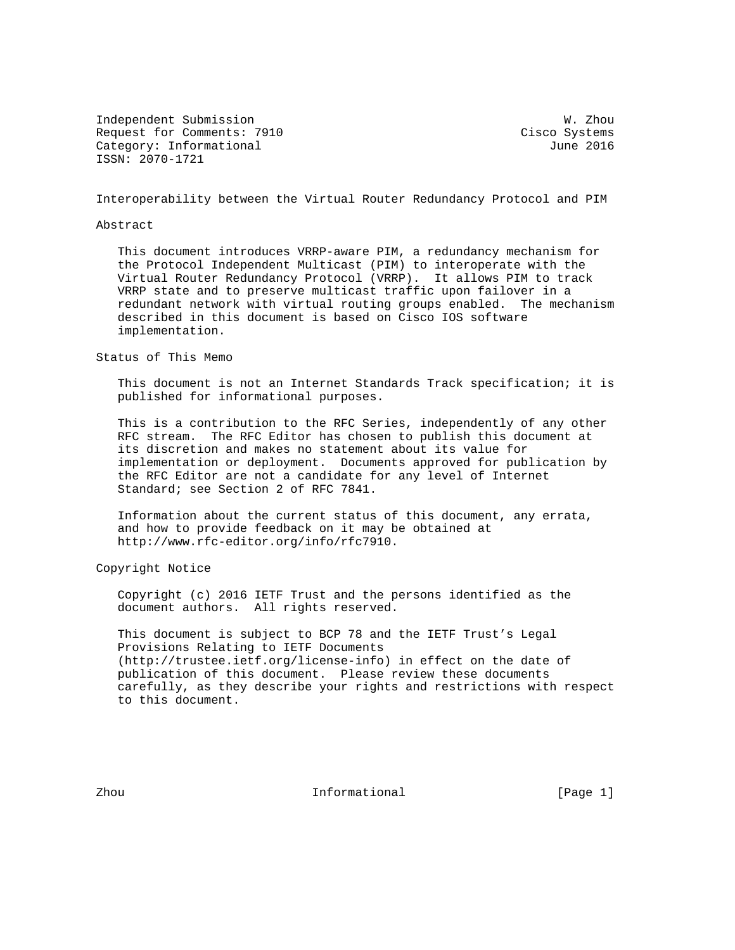Independent Submission W. Zhou Request for Comments: 7910 Cisco Systems Category: Informational distribution of the United States of June 2016 ISSN: 2070-1721

Interoperability between the Virtual Router Redundancy Protocol and PIM

### Abstract

 This document introduces VRRP-aware PIM, a redundancy mechanism for the Protocol Independent Multicast (PIM) to interoperate with the Virtual Router Redundancy Protocol (VRRP). It allows PIM to track VRRP state and to preserve multicast traffic upon failover in a redundant network with virtual routing groups enabled. The mechanism described in this document is based on Cisco IOS software implementation.

Status of This Memo

 This document is not an Internet Standards Track specification; it is published for informational purposes.

 This is a contribution to the RFC Series, independently of any other RFC stream. The RFC Editor has chosen to publish this document at its discretion and makes no statement about its value for implementation or deployment. Documents approved for publication by the RFC Editor are not a candidate for any level of Internet Standard; see Section 2 of RFC 7841.

 Information about the current status of this document, any errata, and how to provide feedback on it may be obtained at http://www.rfc-editor.org/info/rfc7910.

Copyright Notice

 Copyright (c) 2016 IETF Trust and the persons identified as the document authors. All rights reserved.

 This document is subject to BCP 78 and the IETF Trust's Legal Provisions Relating to IETF Documents (http://trustee.ietf.org/license-info) in effect on the date of publication of this document. Please review these documents carefully, as they describe your rights and restrictions with respect to this document.

Zhou  $\qquad \qquad$  Informational  $\qquad \qquad$  [Page 1]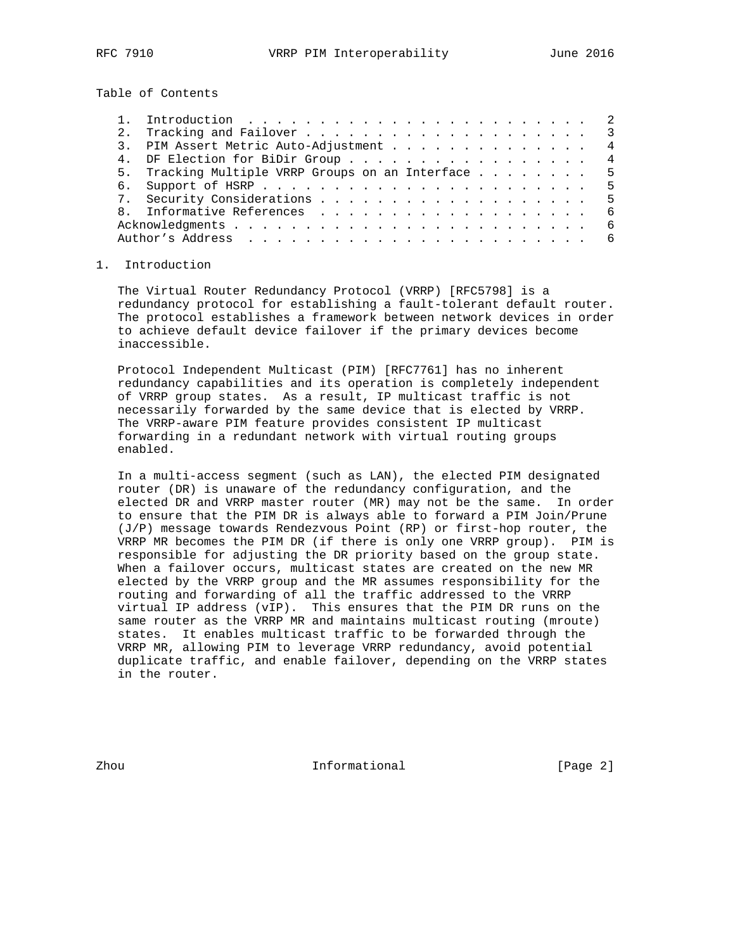Table of Contents

| 2. |                                                    |                |
|----|----------------------------------------------------|----------------|
|    | 3. PIM Assert Metric Auto-Adjustment               | $\overline{4}$ |
|    | $\overline{4}$                                     |                |
|    | 5. Tracking Multiple VRRP Groups on an Interface 5 |                |
|    |                                                    |                |
|    | - 5                                                |                |
|    | - 6                                                |                |
|    |                                                    | - 6            |
|    |                                                    |                |

# 1. Introduction

 The Virtual Router Redundancy Protocol (VRRP) [RFC5798] is a redundancy protocol for establishing a fault-tolerant default router. The protocol establishes a framework between network devices in order to achieve default device failover if the primary devices become inaccessible.

 Protocol Independent Multicast (PIM) [RFC7761] has no inherent redundancy capabilities and its operation is completely independent of VRRP group states. As a result, IP multicast traffic is not necessarily forwarded by the same device that is elected by VRRP. The VRRP-aware PIM feature provides consistent IP multicast forwarding in a redundant network with virtual routing groups enabled.

 In a multi-access segment (such as LAN), the elected PIM designated router (DR) is unaware of the redundancy configuration, and the elected DR and VRRP master router (MR) may not be the same. In order to ensure that the PIM DR is always able to forward a PIM Join/Prune (J/P) message towards Rendezvous Point (RP) or first-hop router, the VRRP MR becomes the PIM DR (if there is only one VRRP group). PIM is responsible for adjusting the DR priority based on the group state. When a failover occurs, multicast states are created on the new MR elected by the VRRP group and the MR assumes responsibility for the routing and forwarding of all the traffic addressed to the VRRP virtual IP address (vIP). This ensures that the PIM DR runs on the same router as the VRRP MR and maintains multicast routing (mroute) states. It enables multicast traffic to be forwarded through the VRRP MR, allowing PIM to leverage VRRP redundancy, avoid potential duplicate traffic, and enable failover, depending on the VRRP states in the router.

Zhou  $\qquad \qquad$  Informational  $\qquad \qquad$  [Page 2]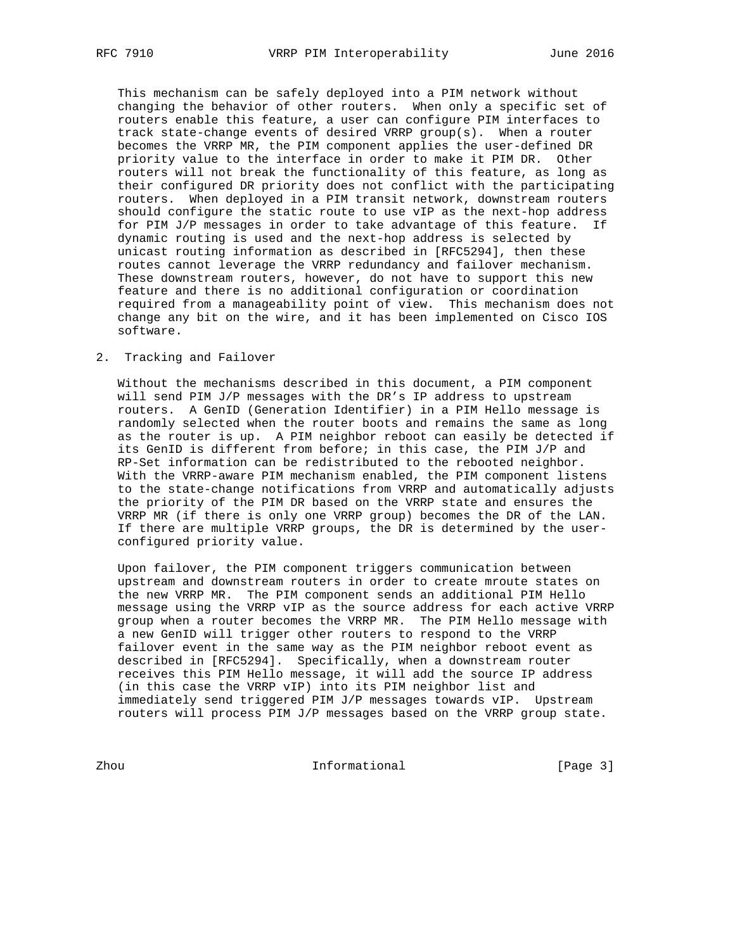This mechanism can be safely deployed into a PIM network without changing the behavior of other routers. When only a specific set of routers enable this feature, a user can configure PIM interfaces to track state-change events of desired VRRP group(s). When a router becomes the VRRP MR, the PIM component applies the user-defined DR priority value to the interface in order to make it PIM DR. Other routers will not break the functionality of this feature, as long as their configured DR priority does not conflict with the participating routers. When deployed in a PIM transit network, downstream routers should configure the static route to use vIP as the next-hop address for PIM J/P messages in order to take advantage of this feature. If dynamic routing is used and the next-hop address is selected by unicast routing information as described in [RFC5294], then these routes cannot leverage the VRRP redundancy and failover mechanism. These downstream routers, however, do not have to support this new feature and there is no additional configuration or coordination required from a manageability point of view. This mechanism does not change any bit on the wire, and it has been implemented on Cisco IOS software.

## 2. Tracking and Failover

 Without the mechanisms described in this document, a PIM component will send PIM J/P messages with the DR's IP address to upstream routers. A GenID (Generation Identifier) in a PIM Hello message is randomly selected when the router boots and remains the same as long as the router is up. A PIM neighbor reboot can easily be detected if its GenID is different from before; in this case, the PIM J/P and RP-Set information can be redistributed to the rebooted neighbor. With the VRRP-aware PIM mechanism enabled, the PIM component listens to the state-change notifications from VRRP and automatically adjusts the priority of the PIM DR based on the VRRP state and ensures the VRRP MR (if there is only one VRRP group) becomes the DR of the LAN. If there are multiple VRRP groups, the DR is determined by the user configured priority value.

 Upon failover, the PIM component triggers communication between upstream and downstream routers in order to create mroute states on the new VRRP MR. The PIM component sends an additional PIM Hello message using the VRRP vIP as the source address for each active VRRP group when a router becomes the VRRP MR. The PIM Hello message with a new GenID will trigger other routers to respond to the VRRP failover event in the same way as the PIM neighbor reboot event as described in [RFC5294]. Specifically, when a downstream router receives this PIM Hello message, it will add the source IP address (in this case the VRRP vIP) into its PIM neighbor list and immediately send triggered PIM J/P messages towards vIP. Upstream routers will process PIM J/P messages based on the VRRP group state.

Zhou 1nformational [Page 3]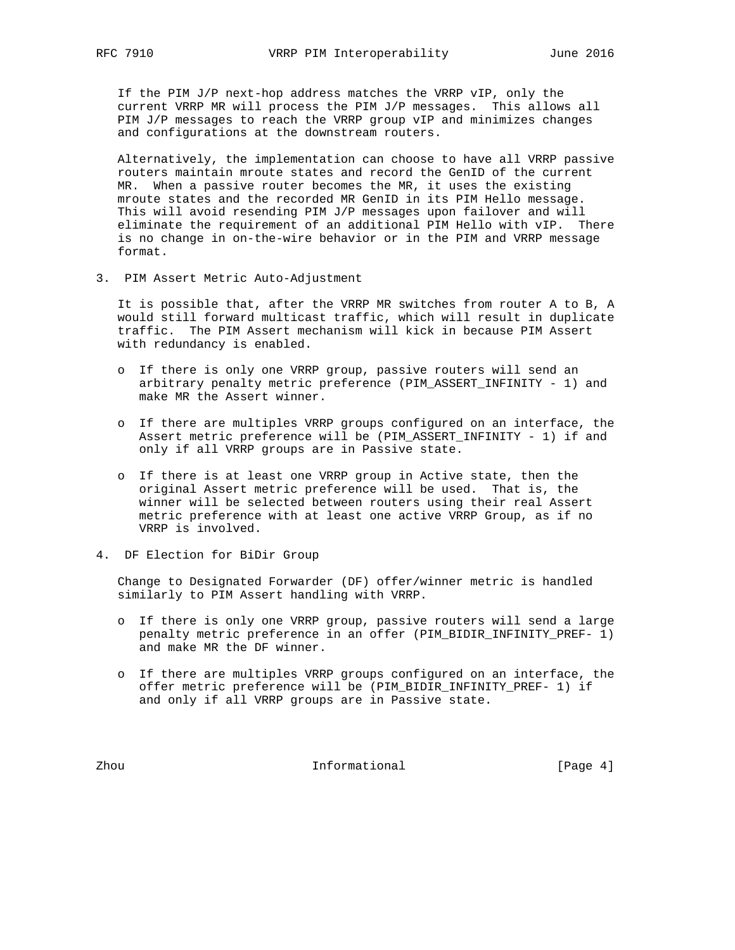If the PIM J/P next-hop address matches the VRRP vIP, only the current VRRP MR will process the PIM J/P messages. This allows all PIM J/P messages to reach the VRRP group vIP and minimizes changes and configurations at the downstream routers.

 Alternatively, the implementation can choose to have all VRRP passive routers maintain mroute states and record the GenID of the current MR. When a passive router becomes the MR, it uses the existing mroute states and the recorded MR GenID in its PIM Hello message. This will avoid resending PIM J/P messages upon failover and will eliminate the requirement of an additional PIM Hello with vIP. There is no change in on-the-wire behavior or in the PIM and VRRP message format.

3. PIM Assert Metric Auto-Adjustment

 It is possible that, after the VRRP MR switches from router A to B, A would still forward multicast traffic, which will result in duplicate traffic. The PIM Assert mechanism will kick in because PIM Assert with redundancy is enabled.

- o If there is only one VRRP group, passive routers will send an arbitrary penalty metric preference (PIM\_ASSERT\_INFINITY - 1) and make MR the Assert winner.
- o If there are multiples VRRP groups configured on an interface, the Assert metric preference will be (PIM\_ASSERT\_INFINITY - 1) if and only if all VRRP groups are in Passive state.
- o If there is at least one VRRP group in Active state, then the original Assert metric preference will be used. That is, the winner will be selected between routers using their real Assert metric preference with at least one active VRRP Group, as if no VRRP is involved.
- 4. DF Election for BiDir Group

 Change to Designated Forwarder (DF) offer/winner metric is handled similarly to PIM Assert handling with VRRP.

- o If there is only one VRRP group, passive routers will send a large penalty metric preference in an offer (PIM\_BIDIR\_INFINITY\_PREF- 1) and make MR the DF winner.
- o If there are multiples VRRP groups configured on an interface, the offer metric preference will be (PIM\_BIDIR\_INFINITY\_PREF- 1) if and only if all VRRP groups are in Passive state.

Zhou Informational [Page 4]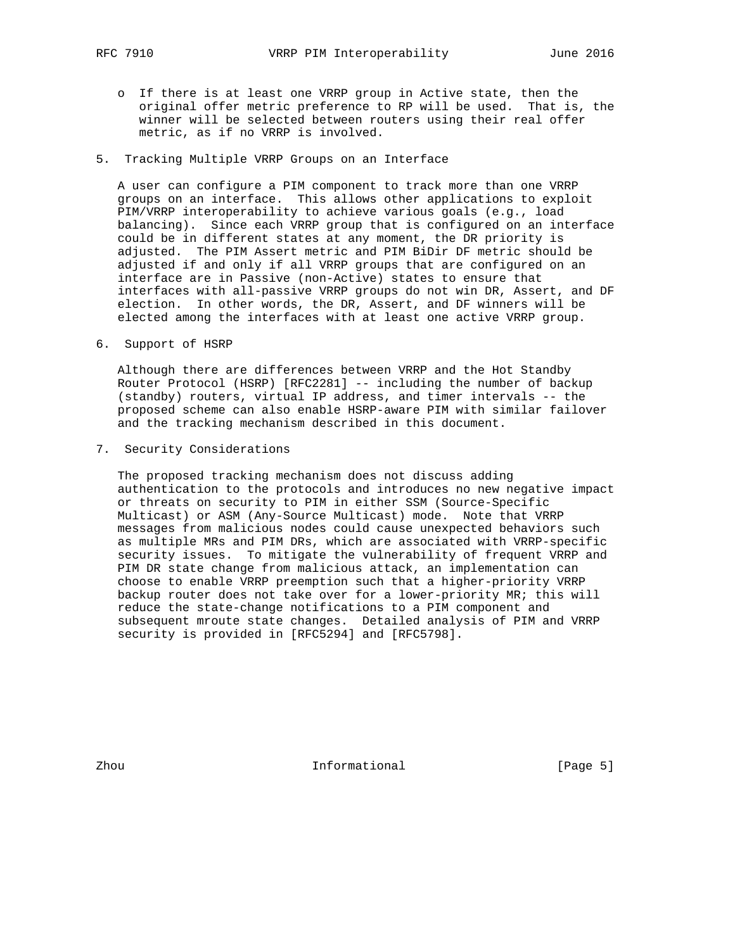- o If there is at least one VRRP group in Active state, then the original offer metric preference to RP will be used. That is, the winner will be selected between routers using their real offer metric, as if no VRRP is involved.
- 5. Tracking Multiple VRRP Groups on an Interface

 A user can configure a PIM component to track more than one VRRP groups on an interface. This allows other applications to exploit PIM/VRRP interoperability to achieve various goals (e.g., load balancing). Since each VRRP group that is configured on an interface could be in different states at any moment, the DR priority is adjusted. The PIM Assert metric and PIM BiDir DF metric should be adjusted if and only if all VRRP groups that are configured on an interface are in Passive (non-Active) states to ensure that interfaces with all-passive VRRP groups do not win DR, Assert, and DF election. In other words, the DR, Assert, and DF winners will be elected among the interfaces with at least one active VRRP group.

6. Support of HSRP

 Although there are differences between VRRP and the Hot Standby Router Protocol (HSRP) [RFC2281] -- including the number of backup (standby) routers, virtual IP address, and timer intervals -- the proposed scheme can also enable HSRP-aware PIM with similar failover and the tracking mechanism described in this document.

7. Security Considerations

 The proposed tracking mechanism does not discuss adding authentication to the protocols and introduces no new negative impact or threats on security to PIM in either SSM (Source-Specific Multicast) or ASM (Any-Source Multicast) mode. Note that VRRP messages from malicious nodes could cause unexpected behaviors such as multiple MRs and PIM DRs, which are associated with VRRP-specific security issues. To mitigate the vulnerability of frequent VRRP and PIM DR state change from malicious attack, an implementation can choose to enable VRRP preemption such that a higher-priority VRRP backup router does not take over for a lower-priority MR; this will reduce the state-change notifications to a PIM component and subsequent mroute state changes. Detailed analysis of PIM and VRRP security is provided in [RFC5294] and [RFC5798].

Zhou **Informational** [Page 5]